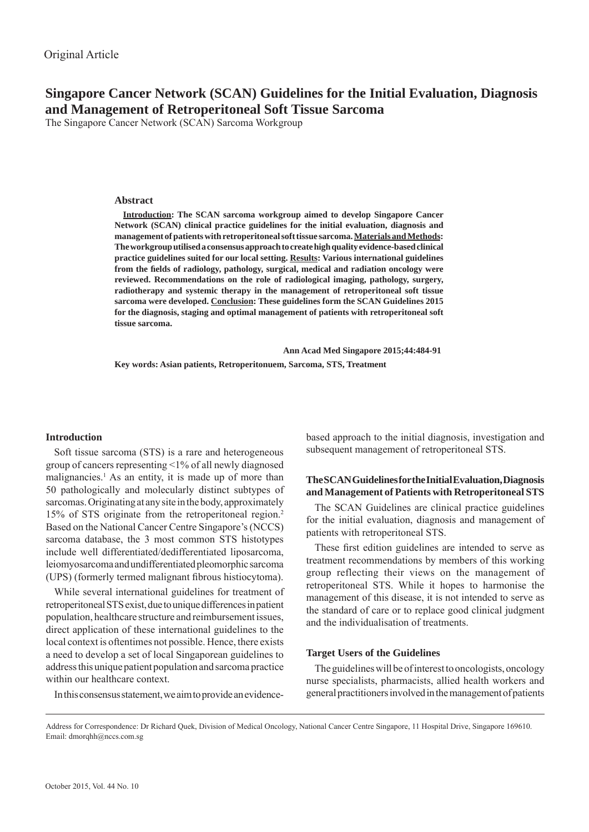# **Singapore Cancer Network (SCAN) Guidelines for the Initial Evaluation, Diagnosis and Management of Retroperitoneal Soft Tissue Sarcoma**

The Singapore Cancer Network (SCAN) Sarcoma Workgroup

### **Abstract**

**Introduction: The SCAN sarcoma workgroup aimed to develop Singapore Cancer Network (SCAN) clinical practice guidelines for the initial evaluation, diagnosis and management of patients with retroperitoneal soft tissue sarcoma. Materials and Methods: The workgroup utilised a consensus approach to create high quality evidence-based clinical practice guidelines suited for our local setting. Results: Various international guidelines from the fi elds of radiology, pathology, surgical, medical and radiation oncology were reviewed. Recommendations on the role of radiological imaging, pathology, surgery, radiotherapy and systemic therapy in the management of retroperitoneal soft tissue sarcoma were developed. Conclusion: These guidelines form the SCAN Guidelines 2015 for the diagnosis, staging and optimal management of patients with retroperitoneal soft tissue sarcoma.** 

 **Ann Acad Med Singapore 2015;44:484-91**

**Key words: Asian patients, Retroperitonuem, Sarcoma, STS, Treatment**

# **Introduction**

Soft tissue sarcoma (STS) is a rare and heterogeneous group of cancers representing <1% of all newly diagnosed malignancies.<sup>1</sup> As an entity, it is made up of more than 50 pathologically and molecularly distinct subtypes of sarcomas. Originating at any site in the body, approximately 15% of STS originate from the retroperitoneal region.2 Based on the National Cancer Centre Singapore's (NCCS) sarcoma database, the 3 most common STS histotypes include well differentiated/dedifferentiated liposarcoma, leiomyosarcoma and undifferentiated pleomorphic sarcoma (UPS) (formerly termed malignant fibrous histiocytoma).

While several international guidelines for treatment of retroperitoneal STS exist, due to unique differences in patient population, healthcare structure and reimbursement issues, direct application of these international guidelines to the local context is oftentimes not possible. Hence, there exists a need to develop a set of local Singaporean guidelines to address this unique patient population and sarcoma practice within our healthcare context.

In this consensus statement, we aim to provide an evidence-

based approach to the initial diagnosis, investigation and subsequent management of retroperitoneal STS.

# **The SCAN Guidelines for the Initial Evaluation, Diagnosis and Management of Patients with Retroperitoneal STS**

The SCAN Guidelines are clinical practice guidelines for the initial evaluation, diagnosis and management of patients with retroperitoneal STS.

These first edition guidelines are intended to serve as treatment recommendations by members of this working group reflecting their views on the management of retroperitoneal STS. While it hopes to harmonise the management of this disease, it is not intended to serve as the standard of care or to replace good clinical judgment and the individualisation of treatments.

# **Target Users of the Guidelines**

The guidelines will be of interest to oncologists, oncology nurse specialists, pharmacists, allied health workers and general practitioners involved in the management of patients

Address for Correspondence: Dr Richard Quek, Division of Medical Oncology, National Cancer Centre Singapore, 11 Hospital Drive, Singapore 169610. Email: dmorqhh@nccs.com.sg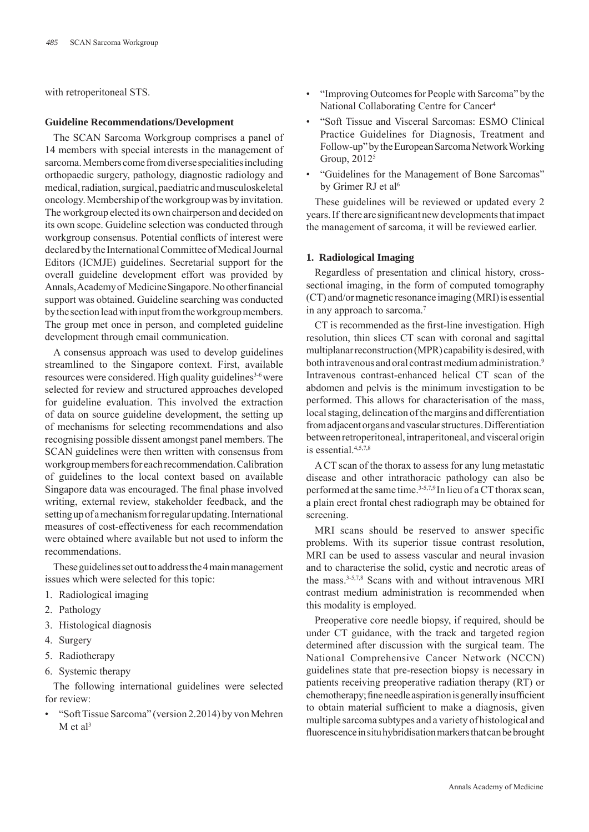with retroperitoneal STS.

#### **Guideline Recommendations/Development**

The SCAN Sarcoma Workgroup comprises a panel of 14 members with special interests in the management of sarcoma. Members come from diverse specialities including orthopaedic surgery, pathology, diagnostic radiology and medical, radiation, surgical, paediatric and musculoskeletal oncology. Membership of the workgroup was by invitation. The workgroup elected its own chairperson and decided on its own scope. Guideline selection was conducted through workgroup consensus. Potential conflicts of interest were declared by the International Committee of Medical Journal Editors (ICMJE) guidelines. Secretarial support for the overall guideline development effort was provided by Annals, Academy of Medicine Singapore. No other financial support was obtained. Guideline searching was conducted by the section lead with input from the workgroup members. The group met once in person, and completed guideline development through email communication.

A consensus approach was used to develop guidelines streamlined to the Singapore context. First, available resources were considered. High quality guidelines<sup>3-6</sup> were selected for review and structured approaches developed for guideline evaluation. This involved the extraction of data on source guideline development, the setting up of mechanisms for selecting recommendations and also recognising possible dissent amongst panel members. The SCAN guidelines were then written with consensus from workgroup members for each recommendation. Calibration of guidelines to the local context based on available Singapore data was encouraged. The final phase involved writing, external review, stakeholder feedback, and the setting up of a mechanism for regular updating. International measures of cost-effectiveness for each recommendation were obtained where available but not used to inform the recommendations.

These guidelines set out to address the 4 main management issues which were selected for this topic:

- 1. Radiological imaging
- 2. Pathology
- 3. Histological diagnosis
- 4. Surgery
- 5. Radiotherapy
- 6. Systemic therapy

The following international guidelines were selected for review:

• "Soft Tissue Sarcoma" (version 2.2014) by von Mehren  $M$  et al<sup>3</sup>

- "Improving Outcomes for People with Sarcoma" by the National Collaborating Centre for Cancer<sup>4</sup>
- "Soft Tissue and Visceral Sarcomas: ESMO Clinical Practice Guidelines for Diagnosis, Treatment and Follow-up" by the European Sarcoma Network Working Group,  $2012^5$
- "Guidelines for the Management of Bone Sarcomas" by Grimer RJ et al<sup>6</sup>

These guidelines will be reviewed or updated every 2 years. If there are significant new developments that impact the management of sarcoma, it will be reviewed earlier.

# **1. Radiological Imaging**

Regardless of presentation and clinical history, crosssectional imaging, in the form of computed tomography (CT) and/or magnetic resonance imaging (MRI) is essential in any approach to sarcoma.7

CT is recommended as the first-line investigation. High resolution, thin slices CT scan with coronal and sagittal multiplanar reconstruction (MPR) capability is desired, with both intravenous and oral contrast medium administration.<sup>9</sup> Intravenous contrast-enhanced helical CT scan of the abdomen and pelvis is the minimum investigation to be performed. This allows for characterisation of the mass, local staging, delineation of the margins and differentiation from adjacent organs and vascular structures. Differentiation between retroperitoneal, intraperitoneal, and visceral origin is essential.4,5,7,8

A CT scan of the thorax to assess for any lung metastatic disease and other intrathoracic pathology can also be performed at the same time.<sup>3-5,7,9</sup> In lieu of a CT thorax scan, a plain erect frontal chest radiograph may be obtained for screening.

MRI scans should be reserved to answer specific problems. With its superior tissue contrast resolution, MRI can be used to assess vascular and neural invasion and to characterise the solid, cystic and necrotic areas of the mass.<sup>3-5,7,8</sup> Scans with and without intravenous MRI contrast medium administration is recommended when this modality is employed.

Preoperative core needle biopsy, if required, should be under CT guidance, with the track and targeted region determined after discussion with the surgical team. The National Comprehensive Cancer Network (NCCN) guidelines state that pre-resection biopsy is necessary in patients receiving preoperative radiation therapy (RT) or chemotherapy; fine needle aspiration is generally insufficient to obtain material sufficient to make a diagnosis, given multiple sarcoma subtypes and a variety of histological and fluorescence in situ hybridisation markers that can be brought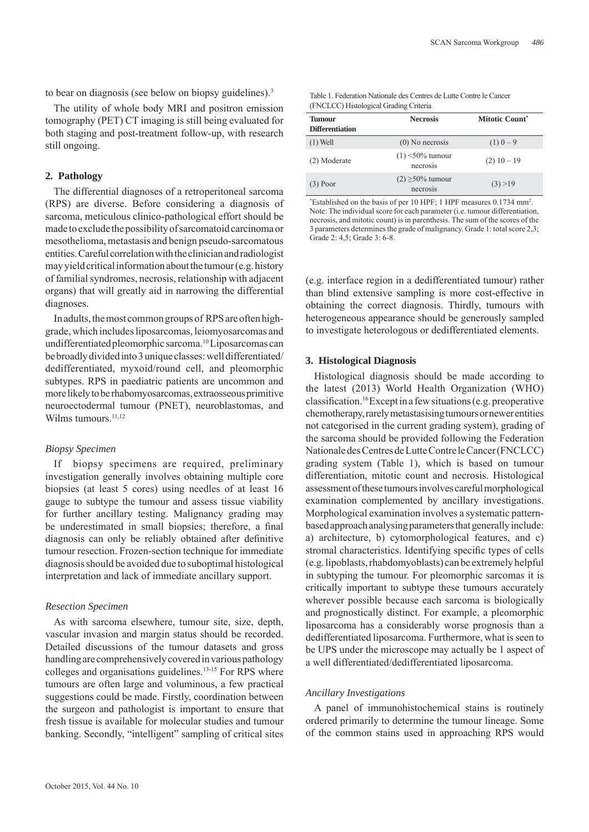to bear on diagnosis (see below on biopsy guidelines).3

The utility of whole body MRI and positron emission tomography (PET) CT imaging is still being evaluated for both staging and post-treatment follow-up, with research still ongoing.

#### **2. Pathology**

The differential diagnoses of a retroperitoneal sarcoma (RPS) are diverse. Before considering a diagnosis of sarcoma, meticulous clinico-pathological effort should be made to exclude the possibility of sarcomatoid carcinoma or mesothelioma, metastasis and benign pseudo-sarcomatous entities. Careful correlation with the clinician and radiologist may yield critical information about the tumour (e.g. history of familial syndromes, necrosis, relationship with adjacent organs) that will greatly aid in narrowing the differential diagnoses.

In adults, the most common groups of RPS are often highgrade, which includes liposarcomas, leiomyosarcomas and undifferentiated pleomorphic sarcoma.10 Liposarcomas can be broadly divided into 3 unique classes: well differentiated/ dedifferentiated, myxoid/round cell, and pleomorphic subtypes. RPS in paediatric patients are uncommon and more likely to be rhabomyosarcomas, extraosseous primitive neuroectodermal tumour (PNET), neuroblastomas, and Wilms tumours.<sup>11,12</sup>

#### *Biopsy Specimen*

If biopsy specimens are required, preliminary investigation generally involves obtaining multiple core biopsies (at least 5 cores) using needles of at least 16 gauge to subtype the tumour and assess tissue viability for further ancillary testing. Malignancy grading may be underestimated in small biopsies; therefore, a final diagnosis can only be reliably obtained after definitive tumour resection. Frozen-section technique for immediate diagnosis should be avoided due to suboptimal histological interpretation and lack of immediate ancillary support.

#### *Resection Specimen*

As with sarcoma elsewhere, tumour site, size, depth, vascular invasion and margin status should be recorded. Detailed discussions of the tumour datasets and gross handling are comprehensively covered in various pathology colleges and organisations guidelines.13-15 For RPS where tumours are often large and voluminous, a few practical suggestions could be made. Firstly, coordination between the surgeon and pathologist is important to ensure that fresh tissue is available for molecular studies and tumour banking. Secondly, "intelligent" sampling of critical sites

| Table 1. Federation Nationale des Centres de Lutte Contre le Cancer |  |
|---------------------------------------------------------------------|--|
| (FNCLCC) Histological Grading Criteria                              |  |

| <b>Tumour</b><br><b>Differentiation</b> | <b>Necrosis</b>                    | <b>Mitotic Count*</b> |
|-----------------------------------------|------------------------------------|-----------------------|
| $(1)$ Well                              | $(0)$ No necrosis                  | $(1)$ 0 – 9           |
| (2) Moderate                            | $(1)$ <50% tumour<br>necrosis      | $(2)$ 10 – 19         |
| $(3)$ Poor                              | $(2) \geq 50\%$ tumour<br>necrosis | (3) > 19              |

\* Established on the basis of per 10 HPF; 1 HPF measures 0.1734 mm2 . Note: The individual score for each parameter (i.e. tumour differentiation, necrosis, and mitotic count) is in parenthesis. The sum of the scores of the 3 parameters determines the grade of malignancy. Grade 1: total score 2,3; Grade 2: 4,5; Grade 3: 6-8.

(e.g. interface region in a dedifferentiated tumour) rather than blind extensive sampling is more cost-effective in obtaining the correct diagnosis. Thirdly, tumours with heterogeneous appearance should be generously sampled to investigate heterologous or dedifferentiated elements.

# **3. Histological Diagnosis**

Histological diagnosis should be made according to the latest (2013) World Health Organization (WHO) classification.<sup>16</sup> Except in a few situations (e.g. preoperative chemotherapy, rarely metastasising tumours or newer entities not categorised in the current grading system), grading of the sarcoma should be provided following the Federation Nationale des Centres de Lutte Contre le Cancer (FNCLCC) grading system (Table 1), which is based on tumour differentiation, mitotic count and necrosis. Histological assessment of these tumours involves careful morphological examination complemented by ancillary investigations. Morphological examination involves a systematic patternbased approach analysing parameters that generally include: a) architecture, b) cytomorphological features, and c) stromal characteristics. Identifying specific types of cells (e.g. lipoblasts, rhabdomyoblasts) can be extremely helpful in subtyping the tumour. For pleomorphic sarcomas it is critically important to subtype these tumours accurately wherever possible because each sarcoma is biologically and prognostically distinct. For example, a pleomorphic liposarcoma has a considerably worse prognosis than a dedifferentiated liposarcoma. Furthermore, what is seen to be UPS under the microscope may actually be 1 aspect of a well differentiated/dedifferentiated liposarcoma.

#### *Ancillary Investigations*

A panel of immunohistochemical stains is routinely ordered primarily to determine the tumour lineage. Some of the common stains used in approaching RPS would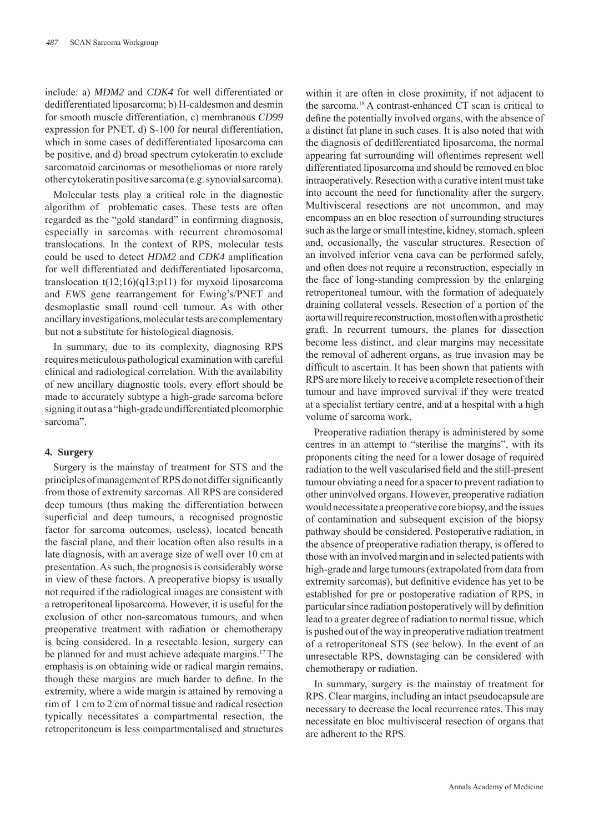include: a) *MDM2* and *CDK4* for well differentiated or dedifferentiated liposarcoma; b) H-caldesmon and desmin for smooth muscle differentiation, c) membranous *CD99* expression for PNET, d) S-100 for neural differentiation, which in some cases of dedifferentiated liposarcoma can be positive, and d) broad spectrum cytokeratin to exclude sarcomatoid carcinomas or mesotheliomas or more rarely other cytokeratin positive sarcoma (e.g. synovial sarcoma).

Molecular tests play a critical role in the diagnostic algorithm of problematic cases. These tests are often regarded as the "gold standard" in confirming diagnosis, especially in sarcomas with recurrent chromosomal translocations. In the context of RPS, molecular tests could be used to detect *HDM2* and *CDK4* amplification for well differentiated and dedifferentiated liposarcoma, translocation  $t(12;16)(q13;p11)$  for myxoid liposarcoma and *EWS* gene rearrangement for Ewing's/PNET and desmoplastic small round cell tumour. As with other ancillary investigations, molecular tests are complementary but not a substitute for histological diagnosis.

In summary, due to its complexity, diagnosing RPS requires meticulous pathological examination with careful clinical and radiological correlation. With the availability of new ancillary diagnostic tools, every effort should be made to accurately subtype a high-grade sarcoma before signing it out as a "high-grade undifferentiated pleomorphic sarcoma".

# **4. Surgery**

Surgery is the mainstay of treatment for STS and the principles of management of RPS do not differ significantly from those of extremity sarcomas. All RPS are considered deep tumours (thus making the differentiation between superficial and deep tumours, a recognised prognostic factor for sarcoma outcomes, useless), located beneath the fascial plane, and their location often also results in a late diagnosis, with an average size of well over 10 cm at presentation. As such, the prognosis is considerably worse in view of these factors. A preoperative biopsy is usually not required if the radiological images are consistent with a retroperitoneal liposarcoma. However, it is useful for the exclusion of other non-sarcomatous tumours, and when preoperative treatment with radiation or chemotherapy is being considered. In a resectable lesion, surgery can be planned for and must achieve adequate margins.<sup>17</sup> The emphasis is on obtaining wide or radical margin remains, though these margins are much harder to define. In the extremity, where a wide margin is attained by removing a rim of 1 cm to 2 cm of normal tissue and radical resection typically necessitates a compartmental resection, the retroperitoneum is less compartmentalised and structures

within it are often in close proximity, if not adjacent to the sarcoma.18 A contrast-enhanced CT scan is critical to define the potentially involved organs, with the absence of a distinct fat plane in such cases. It is also noted that with the diagnosis of dedifferentiated liposarcoma, the normal appearing fat surrounding will oftentimes represent well differentiated liposarcoma and should be removed en bloc intraoperatively. Resection with a curative intent must take into account the need for functionality after the surgery. Multivisceral resections are not uncommon, and may encompass an en bloc resection of surrounding structures such as the large or small intestine, kidney, stomach, spleen and, occasionally, the vascular structures. Resection of an involved inferior vena cava can be performed safely, and often does not require a reconstruction, especially in the face of long-standing compression by the enlarging retroperitoneal tumour, with the formation of adequately draining collateral vessels. Resection of a portion of the aorta will require reconstruction, most often with a prosthetic graft. In recurrent tumours, the planes for dissection become less distinct, and clear margins may necessitate the removal of adherent organs, as true invasion may be difficult to ascertain. It has been shown that patients with RPS are more likely to receive a complete resection of their tumour and have improved survival if they were treated at a specialist tertiary centre, and at a hospital with a high volume of sarcoma work.

Preoperative radiation therapy is administered by some centres in an attempt to "sterilise the margins", with its proponents citing the need for a lower dosage of required radiation to the well vascularised field and the still-present tumour obviating a need for a spacer to prevent radiation to other uninvolved organs. However, preoperative radiation would necessitate a preoperative core biopsy, and the issues of contamination and subsequent excision of the biopsy pathway should be considered. Postoperative radiation, in the absence of preoperative radiation therapy, is offered to those with an involved margin and in selected patients with high-grade and large tumours (extrapolated from data from extremity sarcomas), but definitive evidence has yet to be established for pre or postoperative radiation of RPS, in particular since radiation postoperatively will by definition lead to a greater degree of radiation to normal tissue, which is pushed out of the way in preoperative radiation treatment of a retroperitoneal STS (see below). In the event of an unresectable RPS, downstaging can be considered with chemotherapy or radiation.

In summary, surgery is the mainstay of treatment for RPS. Clear margins, including an intact pseudocapsule are necessary to decrease the local recurrence rates. This may necessitate en bloc multivisceral resection of organs that are adherent to the RPS.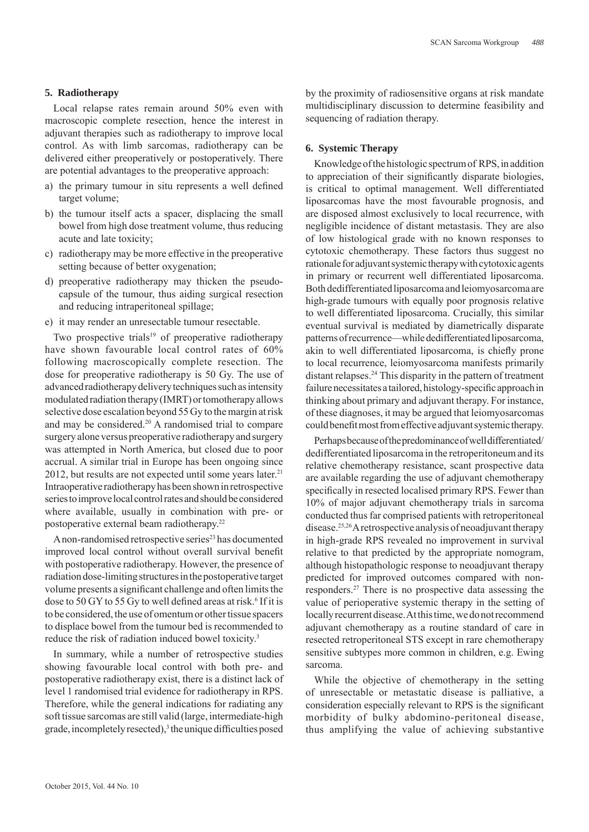# **5. Radiotherapy**

Local relapse rates remain around 50% even with macroscopic complete resection, hence the interest in adjuvant therapies such as radiotherapy to improve local control. As with limb sarcomas, radiotherapy can be delivered either preoperatively or postoperatively. There are potential advantages to the preoperative approach:

- a) the primary tumour in situ represents a well defined target volume;
- b) the tumour itself acts a spacer, displacing the small bowel from high dose treatment volume, thus reducing acute and late toxicity;
- c) radiotherapy may be more effective in the preoperative setting because of better oxygenation;
- d) preoperative radiotherapy may thicken the pseudocapsule of the tumour, thus aiding surgical resection and reducing intraperitoneal spillage;
- e) it may render an unresectable tumour resectable.

Two prospective trials<sup>19</sup> of preoperative radiotherapy have shown favourable local control rates of 60% following macroscopically complete resection. The dose for preoperative radiotherapy is 50 Gy. The use of advanced radiotherapy delivery techniques such as intensity modulated radiation therapy (IMRT) or tomotherapy allows selective dose escalation beyond 55 Gy to the margin at risk and may be considered.<sup>20</sup> A randomised trial to compare surgery alone versus preoperative radiotherapy and surgery was attempted in North America, but closed due to poor accrual. A similar trial in Europe has been ongoing since 2012, but results are not expected until some years later.<sup>21</sup> Intraoperative radiotherapy has been shown in retrospective series to improve local control rates and should be considered where available, usually in combination with pre- or postoperative external beam radiotherapy.22

A non-randomised retrospective series<sup>23</sup> has documented improved local control without overall survival benefit with postoperative radiotherapy. However, the presence of radiation dose-limiting structures in the postoperative target volume presents a significant challenge and often limits the dose to 50 GY to 55 Gy to well defined areas at risk.<sup>6</sup> If it is to be considered, the use of omentum or other tissue spacers to displace bowel from the tumour bed is recommended to reduce the risk of radiation induced bowel toxicity.<sup>3</sup>

In summary, while a number of retrospective studies showing favourable local control with both pre- and postoperative radiotherapy exist, there is a distinct lack of level 1 randomised trial evidence for radiotherapy in RPS. Therefore, while the general indications for radiating any soft tissue sarcomas are still valid (large, intermediate-high grade, incompletely resected),<sup>3</sup> the unique difficulties posed by the proximity of radiosensitive organs at risk mandate multidisciplinary discussion to determine feasibility and sequencing of radiation therapy.

# **6. Systemic Therapy**

Knowledge of the histologic spectrum of RPS, in addition to appreciation of their significantly disparate biologies, is critical to optimal management. Well differentiated liposarcomas have the most favourable prognosis, and are disposed almost exclusively to local recurrence, with negligible incidence of distant metastasis. They are also of low histological grade with no known responses to cytotoxic chemotherapy. These factors thus suggest no rationale for adjuvant systemic therapy with cytotoxic agents in primary or recurrent well differentiated liposarcoma. Both dedifferentiated liposarcoma and leiomyosarcoma are high-grade tumours with equally poor prognosis relative to well differentiated liposarcoma. Crucially, this similar eventual survival is mediated by diametrically disparate patterns of recurrence—while dedifferentiated liposarcoma, akin to well differentiated liposarcoma, is chiefly prone to local recurrence, leiomyosarcoma manifests primarily distant relapses.24 This disparity in the pattern of treatment failure necessitates a tailored, histology-specific approach in thinking about primary and adjuvant therapy. For instance, of these diagnoses, it may be argued that leiomyosarcomas could benefit most from effective adjuvant systemic therapy.

Perhaps because of the predominance of well differentiated/ dedifferentiated liposarcoma in the retroperitoneum and its relative chemotherapy resistance, scant prospective data are available regarding the use of adjuvant chemotherapy specifically in resected localised primary RPS. Fewer than 10% of major adjuvant chemotherapy trials in sarcoma conducted thus far comprised patients with retroperitoneal disease.25,26 A retrospective analysis of neoadjuvant therapy in high-grade RPS revealed no improvement in survival relative to that predicted by the appropriate nomogram, although histopathologic response to neoadjuvant therapy predicted for improved outcomes compared with nonresponders.27 There is no prospective data assessing the value of perioperative systemic therapy in the setting of locally recurrent disease. At this time, we do not recommend adjuvant chemotherapy as a routine standard of care in resected retroperitoneal STS except in rare chemotherapy sensitive subtypes more common in children, e.g. Ewing sarcoma.

While the objective of chemotherapy in the setting of unresectable or metastatic disease is palliative, a consideration especially relevant to RPS is the significant morbidity of bulky abdomino-peritoneal disease, thus amplifying the value of achieving substantive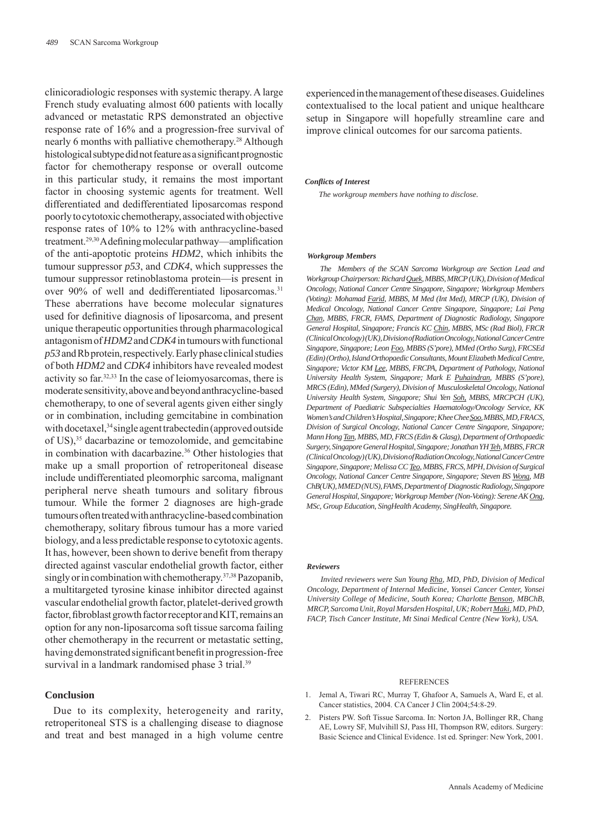clinicoradiologic responses with systemic therapy. A large French study evaluating almost 600 patients with locally advanced or metastatic RPS demonstrated an objective response rate of 16% and a progression-free survival of nearly 6 months with palliative chemotherapy.<sup>28</sup> Although histological subtype did not feature as a significant prognostic factor for chemotherapy response or overall outcome in this particular study, it remains the most important factor in choosing systemic agents for treatment. Well differentiated and dedifferentiated liposarcomas respond poorly to cytotoxic chemotherapy, associated with objective response rates of 10% to 12% with anthracycline-based treatment.<sup>29,30</sup> A defining molecular pathway—amplification of the anti-apoptotic proteins *HDM2*, which inhibits the tumour suppressor *p53*, and *CDK4*, which suppresses the tumour suppressor retinoblastoma protein—is present in over 90% of well and dedifferentiated liposarcomas.<sup>31</sup> These aberrations have become molecular signatures used for definitive diagnosis of liposarcoma, and present unique therapeutic opportunities through pharmacological antagonism of *HDM2* and *CDK4* in tumours with functional *p53* and Rb protein, respectively. Early phase clinical studies of both *HDM2* and *CDK4* inhibitors have revealed modest activity so far.32,33 In the case of leiomyosarcomas, there is moderate sensitivity, above and beyond anthracycline-based chemotherapy, to one of several agents given either singly or in combination, including gemcitabine in combination with docetaxel,<sup>34</sup> single agent trabectedin (approved outside of US),<sup>35</sup> dacarbazine or temozolomide, and gemcitabine in combination with dacarbazine.<sup>36</sup> Other histologies that make up a small proportion of retroperitoneal disease include undifferentiated pleomorphic sarcoma, malignant peripheral nerve sheath tumours and solitary fibrous tumour. While the former 2 diagnoses are high-grade tumours often treated with anthracycline-based combination chemotherapy, solitary fibrous tumour has a more varied biology, and a less predictable response to cytotoxic agents. It has, however, been shown to derive benefit from therapy directed against vascular endothelial growth factor, either singly or in combination with chemotherapy.<sup>37,38</sup> Pazopanib, a multitargeted tyrosine kinase inhibitor directed against vascular endothelial growth factor, platelet-derived growth factor, fibroblast growth factor receptor and KIT, remains an option for any non-liposarcoma soft tissue sarcoma failing other chemotherapy in the recurrent or metastatic setting, having demonstrated significant benefit in progression-free survival in a landmark randomised phase 3 trial.<sup>39</sup>

### **Conclusion**

Due to its complexity, heterogeneity and rarity, retroperitoneal STS is a challenging disease to diagnose and treat and best managed in a high volume centre

experienced in the management of these diseases. Guidelines contextualised to the local patient and unique healthcare setup in Singapore will hopefully streamline care and improve clinical outcomes for our sarcoma patients.

#### *Confl icts of Interest*

*The workgroup members have nothing to disclose.*

#### *Workgroup Members*

*The Members of the SCAN Sarcoma Workgroup are Section Lead and Workgroup Chairperson: Richard Quek, MBBS, MRCP (UK), Division of Medical Oncology, National Cancer Centre Singapore, Singapore; Workgroup Members (Voting): Mohamad Farid, MBBS, M Med (Int Med), MRCP (UK), Division of Medical Oncology, National Cancer Centre Singapore, Singapore; Lai Peng Chan, MBBS, FRCR, FAMS, Department of Diagnostic Radiology, Singapore General Hospital, Singapore; Francis KC Chin, MBBS, MSc (Rad Biol), FRCR (Clinical Oncology) (UK), Division of Radiation Oncology, National Cancer Centre Singapore, Singapore; Leon Foo, MBBS (S'pore), MMed (Ortho Surg), FRCSEd (Edin) (Ortho), Island Orthopaedic Consultants, Mount Elizabeth Medical Centre, Singapore; Victor KM Lee, MBBS, FRCPA, Department of Pathology, National University Health System, Singapore; Mark E Puhaindran, MBBS (S'pore), MRCS (Edin), MMed (Surgery), Division of Musculoskeletal Oncology, National University Health System, Singapore; Shui Yen Soh, MBBS, MRCPCH (UK), Department of Paediatric Subspecialties Haematology/Oncology Service, KK Women's and Children's Hospital, Singapore; Khee Chee Soo, MBBS, MD, FRACS, Division of Surgical Oncology, National Cancer Centre Singapore, Singapore; Mann Hong Tan, MBBS, MD, FRCS (Edin & Glasg), Department of Orthopaedic Surgery, Singapore General Hospital, Singapore; Jonathan YH Teh, MBBS, FRCR (Clinical Oncology) (UK), Division of Radiation Oncology, National Cancer Centre Singapore, Singapore; Melissa CC Teo, MBBS, FRCS, MPH, Division of Surgical Oncology, National Cancer Centre Singapore, Singapore; Steven BS Wong, MB ChB(UK), MMED (NUS), FAMS, Department of Diagnostic Radiology, Singapore General Hospital, Singapore; Workgroup Member (Non-Voting): Serene AK Ong, MSc, Group Education, SingHealth Academy, SingHealth, Singapore.*

#### *Reviewers*

*Invited reviewers were Sun Young Rha, MD, PhD, Division of Medical Oncology, Department of Internal Medicine, Yonsei Cancer Center, Yonsei University College of Medicine, South Korea; Charlotte Benson, MBChB, MRCP, Sarcoma Unit, Royal Marsden Hospital, UK; Robert Maki, MD, PhD, FACP, Tisch Cancer Institute, Mt Sinai Medical Centre (New York), USA.*

#### **REFERENCES**

- 1. Jemal A, Tiwari RC, Murray T, Ghafoor A, Samuels A, Ward E, et al. Cancer statistics, 2004. CA Cancer J Clin 2004;54:8-29.
- 2. Pisters PW. Soft Tissue Sarcoma. In: Norton JA, Bollinger RR, Chang AE, Lowry SF, Mulvihill SJ, Pass HI, Thompson RW, editors. Surgery: Basic Science and Clinical Evidence. 1st ed. Springer: New York, 2001.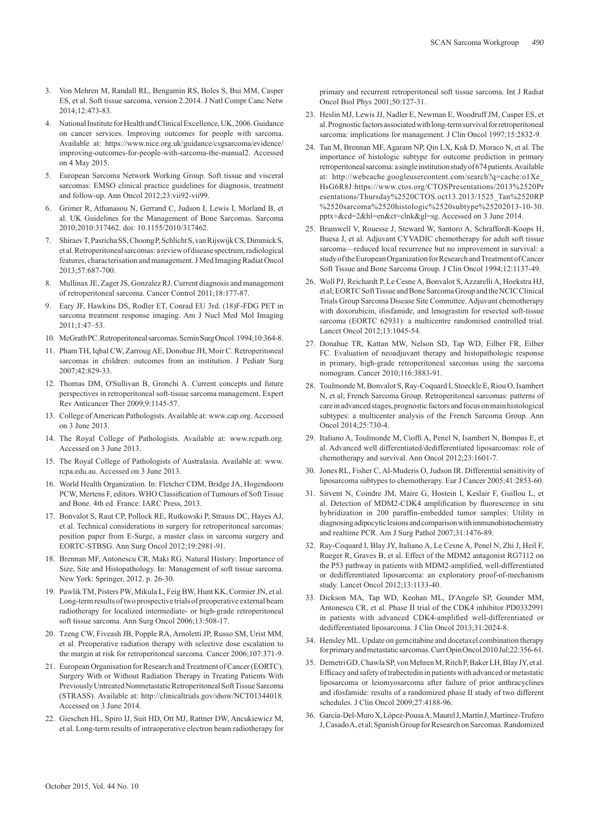- 3. Von Mehren M, Randall RL, Bengamin RS, Boles S, Bui MM, Casper ES, et al. Soft tissue sarcoma, version 2.2014. J Natl Compr Canc Netw 2014;12:473-83.
- 4. National Institute for Health and Clinical Excellence, UK, 2006. Guidance on cancer services. Improving outcomes for people with sarcoma. Available at: https://www.nice.org.uk/guidance/csgsarcoma/evidence/ improving-outcomes-for-people-with-sarcoma-the-manual2. Accessed on 4 May 2015.
- 5. European Sarcoma Network Working Group. Soft tissue and visceral sarcomas: EMSO clinical practice guidelines for diagnosis, treatment and follow-up. Ann Oncol 2012;23:vii92-vii99.
- 6. Grimer R, Athanasou N, Gerrand C, Judson I, Lewis I, Morland B, et al. UK Guidelines for the Management of Bone Sarcomas. Sarcoma 2010;2010:317462. doi: 10.1155/2010/317462.
- 7. Shiraev T, Pasricha SS, Choong P, Schlicht S, van Rijswijk CS, Dimmick S, et al. Retroperitoneal sarcomas: a review of disease spectrum, radiological features, characterisation and management. J Med Imaging Radiat Oncol 2013;57:687-700.
- 8. Mullinax JE, Zager JS, Gonzalez RJ. Current diagnosis and management of retroperitoneal sarcoma. Cancer Control 2011;18:177-87.
- 9. Eary JF, Hawkins DS, Rodler ET, Conrad EU 3rd. (18)F-FDG PET in sarcoma treatment response imaging. Am J Nucl Med Mol Imaging 2011;1:47–53.
- 10. McGrath PC. Retroperitoneal sarcomas. Semin Surg Oncol. 1994;10:364-8.
- 11. Pham TH, Iqbal CW, Zarroug AE, Donohue JH, Moir C. Retroperitoneal sarcomas in children: outcomes from an institution. J Pediatr Surg 2007;42:829-33.
- 12. Thomas DM, O'Sullivan B, Gronchi A. Current concepts and future perspectives in retroperitoneal soft-tissue sarcoma management. Expert Rev Anticancer Ther 2009;9:1145-57.
- 13. College of American Pathologists. Available at: www.cap.org. Accessed on 3 June 2013.
- 14. The Royal College of Pathologists. Available at: www.rcpath.org. Accessed on 3 June 2013.
- 15. The Royal College of Pathologists of Australasia. Available at: www. rcpa.edu.au. Accessed on 3 June 2013.
- 16. World Health Organization. In: Fletcher CDM, Bridge JA, Hogendoorn PCW, Mertens F, editors. WHO Classification of Tumours of Soft Tissue and Bone. 4th ed. France: IARC Press, 2013.
- 17. Bonvalot S, Raut CP, Pollock RE, Rutkowski P, Strauss DC, Hayes AJ, et al. Technical considerations in surgery for retroperitoneal sarcomas: position paper from E-Surge, a master class in sarcoma surgery and EORTC-STBSG. Ann Surg Oncol 2012;19:2981-91.
- 18. Brennan MF, Antonescu CR, Maki RG. Natural History: Importance of Size, Site and Histopathology. In: Management of soft tissue sarcoma. New York: Springer, 2012. p. 26-30.
- 19. Pawlik TM, Pisters PW, Mikula L, Feig BW, Hunt KK, Cormier JN, et al. Long-term results of two prospective trials of preoperative external beam radiotherapy for localized intermediate- or high-grade retroperitoneal soft tissue sarcoma. Ann Surg Oncol 2006;13:508-17.
- 20. Tzeng CW, Fiveash JB, Popple RA, Arnoletti JP, Russo SM, Urist MM, et al. Preoperative radiation therapy with selective dose escalation to the margin at risk for retroperitoneal sarcoma. Cancer 2006;107:371-9.
- 21. European Organisation for Research and Treatment of Cancer (EORTC). Surgery With or Without Radiation Therapy in Treating Patients With Previously Untreated Nonmetastatic Retroperitoneal Soft Tissue Sarcoma (STRASS). Available at: http://clinicaltrials.gov/show/NCT01344018. Accessed on 3 June 2014.
- 22. Gieschen HL, Spiro IJ, Suit HD, Ott MJ, Rattner DW, Ancukiewicz M, et al. Long-term results of intraoperative electron beam radiotherapy for

primary and recurrent retroperitoneal soft tissue sarcoma. Int J Radiat Oncol Biol Phys 2001;50:127-31.

- 23. Heslin MJ, Lewis JJ, Nadler E, Newman E, Woodruff JM, Casper ES, et al. Prognostic factors associated with long-term survival for retroperitoneal sarcoma: implications for management. J Clin Oncol 1997;15:2832-9.
- 24. Tan M, Brennan MF, Agaram NP, Qin LX, Kuk D, Moraco N, et al. The importance of histologic subtype for outcome prediction in primary retroperitoneal sarcoma: a single institution study of 674 patients. Available at: http://webcache.googleusercontent.com/search?q=cache:o1Xe\_ HsG6R8J:https://www.ctos.org/CTOSPresentations/2013%2520Pr esentations/Thursday%2520CTOS.oct13.2013/1525\_Tan%2520RP %2520sarcoma%2520histologic%2520subtype%25202013-10-30. pptx+&cd=2&hl=en&ct=clnk&gl=sg. Accessed on 3 June 2014.
- 25. Bramwell V, Rouesse J, Steward W, Santoro A, Schraffordt-Koops H, Buesa J, et al. Adjuvant CYVADIC chemotherapy for adult soft tissue sarcoma—reduced local recurrence but no improvement in survival: a study of the European Organization for Research and Treatment of Cancer Soft Tissue and Bone Sarcoma Group. J Clin Oncol 1994;12:1137-49.
- 26. Woll PJ, Reichardt P, Le Cesne A, Bonvalot S, Azzarelli A, Hoekstra HJ, et al; EORTC Soft Tissue and Bone Sarcoma Group and the NCIC Clinical Trials Group Sarcoma Disease Site Committee. Adjuvant chemotherapy with doxorubicin, ifosfamide, and lenograstim for resected soft-tissue sarcoma (EORTC 62931): a multicentre randomised controlled trial. Lancet Oncol 2012;13:1045-54.
- 27. Donahue TR, Kattan MW, Nelson SD, Tap WD, Eilber FR, Eilber FC. Evaluation of neoadjuvant therapy and histopathologic response in primary, high-grade retroperitoneal sarcomas using the sarcoma nomogram. Cancer 2010;116:3883-91.
- 28. Toulmonde M, Bonvalot S, Ray-Coquard I, Stoeckle E, Riou O, Isambert N, et al; French Sarcoma Group. Retroperitoneal sarcomas: patterns of care in advanced stages, prognostic factors and focus on main histological subtypes: a multicenter analysis of the French Sarcoma Group. Ann Oncol 2014;25:730-4.
- 29. Italiano A, Toulmonde M, Cioffi A, Penel N, Isambert N, Bompas E, et al. Advanced well differentiated/dedifferentiated liposarcomas: role of chemotherapy and survival. Ann Oncol 2012;23:1601-7.
- 30. Jones RL, Fisher C, Al-Muderis O, Judson IR. Differential sensitivity of liposarcoma subtypes to chemotherapy. Eur J Cancer 2005;41:2853-60.
- 31. Sirvent N, Coindre JM, Maire G, Hostein I, Keslair F, Guillou L, et al. Detection of MDM2-CDK4 amplification by fluorescence in situ hybridization in 200 paraffin-embedded tumor samples: Utility in diagnosing adipocytic lesions and comparison with immunohistochemistry and realtime PCR. Am J Surg Pathol 2007;31:1476-89.
- 32. Ray-Coquard I, Blay JY, Italiano A, Le Cesne A, Penel N, Zhi J, Heil F, Rueger R, Graves B, et al. Effect of the MDM2 antagonist RG7112 on the P53 pathway in patients with MDM2-amplified, well-differentiated or dedifferentiated liposarcoma: an exploratory proof-of-mechanism study. Lancet Oncol 2012;13:1133-40.
- 33. Dickson MA, Tap WD, Keohan ML, D'Angelo SP, Gounder MM, Antonescu CR, et al. Phase II trial of the CDK4 inhibitor PD0332991 in patients with advanced CDK4-amplified well-differentiated or dedifferentiated liposarcoma. J Clin Oncol 2013;31:2024-8.
- 34. Hensley ML. Update on gemcitabine and docetaxel combination therapy for primary and metastatic sarcomas. Curr Opin Oncol 2010 Jul;22:356-61.
- 35. Demetri GD, Chawla SP, von Mehren M, Ritch P, Baker LH, Blay JY, et al. Efficacy and safety of trabectedin in patients with advanced or metastatic liposarcoma or leiomyosarcoma after failure of prior anthracyclines and ifosfamide: results of a randomized phase II study of two different schedules. J Clin Oncol 2009;27:4188-96.
- 36. García-Del-Muro X, López-Pousa A, Maurel J, Martín J, Martínez-Trufero J, Casado A, et al; Spanish Group for Research on Sarcomas. Randomized